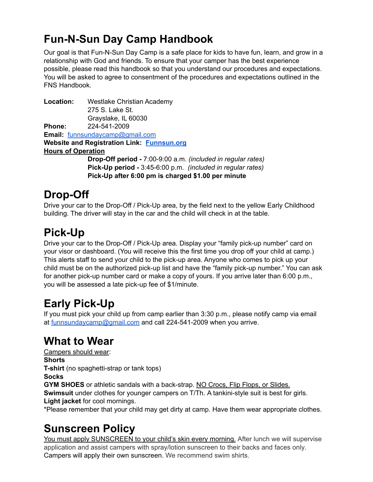### **Fun-N-Sun Day Camp Handbook**

Our goal is that Fun-N-Sun Day Camp is a safe place for kids to have fun, learn, and grow in a relationship with God and friends. To ensure that your camper has the best experience possible, please read this handbook so that you understand our procedures and expectations. You will be asked to agree to consentment of the procedures and expectations outlined in the FNS Handbook.

**Location:** Westlake Christian Academy 275 S. Lake St. Grayslake, IL 60030 **Phone:** 224-541-2009 **Email:** [funnsundaycamp@gmail.com](mailto:funnsundaycamp@gmail.com) **Website and Registration Link: [Funnsun.org](https://funnsun.org) Hours of Operation Drop-Off period -** 7:00-9:00 a.m. *(included in regular rates)* **Pick-Up period -** 3:45-6:00 p.m. *(included in regular rates)* **Pick-Up after 6:00 pm is charged \$1.00 per minute**

## **Drop-Off**

Drive your car to the Drop-Off / Pick-Up area, by the field next to the yellow Early Childhood building. The driver will stay in the car and the child will check in at the table.

## **Pick-Up**

Drive your car to the Drop-Off / Pick-Up area. Display your "family pick-up number" card on your visor or dashboard. (You will receive this the first time you drop off your child at camp.) This alerts staff to send your child to the pick-up area. Anyone who comes to pick up your child must be on the authorized pick-up list and have the "family pick-up number." You can ask for another pick-up number card or make a copy of yours. If you arrive later than 6:00 p.m., you will be assessed a late pick-up fee of \$1/minute.

# **Early Pick-Up**

If you must pick your child up from camp earlier than 3:30 p.m., please notify camp via email at [funnsundaycamp@gmail.com](mailto:funnsundaycamp@gmail.com) and call 224-541-2009 when you arrive.

### **What to Wear**

Campers should wear: **Shorts T-shirt** (no spaghetti-strap or tank tops) **Socks**

**GYM SHOES** or athletic sandals with a back-strap. NO Crocs, Flip Flops, or Slides.

**Swimsuit** under clothes for younger campers on T/Th. A tankini-style suit is best for girls. **Light jacket** for cool mornings.

\*Please remember that your child may get dirty at camp. Have them wear appropriate clothes.

## **Sunscreen Policy**

You must apply SUNSCREEN to your child's skin every morning. After lunch we will supervise application and assist campers with spray/lotion sunscreen to their backs and faces only. Campers will apply their own sunscreen. We recommend swim shirts.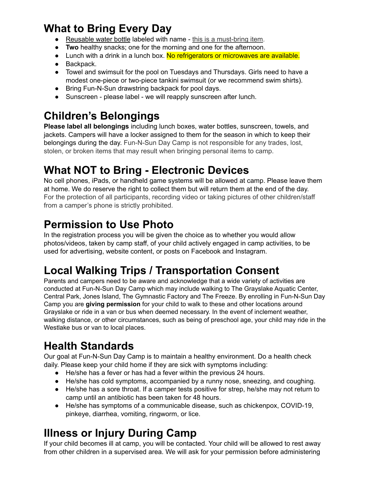### **What to Bring Every Day**

- Reusable water bottle labeled with name this is a must-bring item.
- **Two** healthy snacks; one for the morning and one for the afternoon.
- Lunch with a drink in a lunch box. No refrigerators or microwaves are available.
- Backpack.
- Towel and swimsuit for the pool on Tuesdays and Thursdays. Girls need to have a modest one-piece or two-piece tankini swimsuit (or we recommend swim shirts).
- Bring Fun-N-Sun drawstring backpack for pool days.
- Sunscreen please label we will reapply sunscreen after lunch.

## **Children's Belongings**

**Please label all belongings** including lunch boxes, water bottles, sunscreen, towels, and jackets. Campers will have a locker assigned to them for the season in which to keep their belongings during the day. Fun-N-Sun Day Camp is not responsible for any trades, lost, stolen, or broken items that may result when bringing personal items to camp.

## **What NOT to Bring - Electronic Devices**

No cell phones, iPads, or handheld game systems will be allowed at camp. Please leave them at home. We do reserve the right to collect them but will return them at the end of the day. For the protection of all participants, recording video or taking pictures of other children/staff from a camper's phone is strictly prohibited.

## **Permission to Use Photo**

In the registration process you will be given the choice as to whether you would allow photos/videos, taken by camp staff, of your child actively engaged in camp activities, to be used for advertising, website content, or posts on Facebook and Instagram.

# **Local Walking Trips / Transportation Consent**

Parents and campers need to be aware and acknowledge that a wide variety of activities are conducted at Fun-N-Sun Day Camp which may include walking to The Grayslake Aquatic Center, Central Park, Jones Island, The Gymnastic Factory and The Freeze. By enrolling in Fun-N-Sun Day Camp you are **giving permission** for your child to walk to these and other locations around Grayslake or ride in a van or bus when deemed necessary. In the event of inclement weather, walking distance, or other circumstances, such as being of preschool age, your child may ride in the Westlake bus or van to local places.

## **Health Standards**

Our goal at Fun-N-Sun Day Camp is to maintain a healthy environment. Do a health check daily. Please keep your child home if they are sick with symptoms including:

- He/she has a fever or has had a fever within the previous 24 hours.
- He/she has cold symptoms, accompanied by a runny nose, sneezing, and coughing.
- He/she has a sore throat. If a camper tests positive for strep, he/she may not return to camp until an antibiotic has been taken for 48 hours.
- He/she has symptoms of a communicable disease, such as chickenpox, COVID-19, pinkeye, diarrhea, vomiting, ringworm, or lice.

# **Illness or Injury During Camp**

If your child becomes ill at camp, you will be contacted. Your child will be allowed to rest away from other children in a supervised area. We will ask for your permission before administering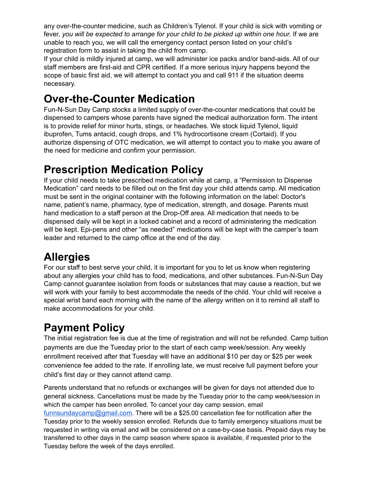any over-the-counter medicine, such as Children's Tylenol. If your child is sick with vomiting or fever, *you will be expected to arrange for your child to be picked up within one hour.* If we are unable to reach you, we will call the emergency contact person listed on your child's registration form to assist in taking the child from camp.

If your child is mildly injured at camp, we will administer ice packs and/or band-aids. All of our staff members are first-aid and CPR certified. If a more serious injury happens beyond the scope of basic first aid, we will attempt to contact you and call 911 if the situation deems necessary.

### **Over-the-Counter Medication**

Fun-N-Sun Day Camp stocks a limited supply of over-the-counter medications that could be dispensed to campers whose parents have signed the medical authorization form. The intent is to provide relief for minor hurts, stings, or headaches. We stock liquid Tylenol, liquid ibuprofen, Tums antacid, cough drops, and 1% hydrocortisone cream (Cortaid). If you authorize dispensing of OTC medication, we will attempt to contact you to make you aware of the need for medicine and confirm your permission.

#### **Prescription Medication Policy**

If your child needs to take prescribed medication while at camp, a "Permission to Dispense Medication" card needs to be filled out on the first day your child attends camp. All medication must be sent in the original container with the following information on the label: Doctor's name, patient's name, pharmacy, type of medication, strength, and dosage. Parents must hand medication to a staff person at the Drop-Off area. All medication that needs to be dispensed daily will be kept in a locked cabinet and a record of administering the medication will be kept. Epi-pens and other "as needed" medications will be kept with the camper's team leader and returned to the camp office at the end of the day.

### **Allergies**

For our staff to best serve your child, it is important for you to let us know when registering about any allergies your child has to food, medications, and other substances. Fun-N-Sun Day Camp cannot guarantee isolation from foods or substances that may cause a reaction, but we will work with your family to best accommodate the needs of the child. Your child will receive a special wrist band each morning with the name of the allergy written on it to remind all staff to make accommodations for your child.

## **Payment Policy**

The initial registration fee is due at the time of registration and will not be refunded. Camp tuition payments are due the Tuesday prior to the start of each camp week/session. Any weekly enrollment received after that Tuesday will have an additional \$10 per day or \$25 per week convenience fee added to the rate. If enrolling late, we must receive full payment before your child's first day or they cannot attend camp.

Parents understand that no refunds or exchanges will be given for days not attended due to general sickness. Cancellations must be made by the Tuesday prior to the camp week/session in which the camper has been enrolled. To cancel your day camp session, email [funnsundaycamp@gmail.com](mailto:funnsundaycamp@gmail.com). There will be a \$25.00 cancellation fee for notification after the Tuesday prior to the weekly session enrolled. Refunds due to family emergency situations must be requested in writing via email and will be considered on a case-by-case basis. Prepaid days may be transferred to other days in the camp season where space is available, if requested prior to the Tuesday before the week of the days enrolled.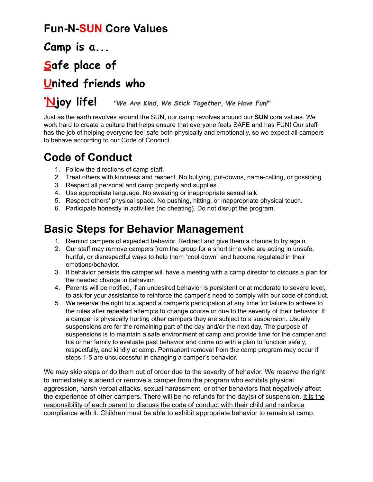#### **Fun-N-SUN Core Values**

**Camp is a...**

## **Safe place of**

#### **United friends who**

#### **'Njoy life!** *"We Are Kind, We Stick Together, We Have Fun!"*

Just as the earth revolves around the SUN, our camp revolves around our **SUN** core values. We work hard to create a culture that helps ensure that everyone feels SAFE and has FUN! Our staff has the job of helping everyone feel safe both physically and emotionally, so we expect all campers to behave according to our Code of Conduct.

#### **Code of Conduct**

- 1. Follow the directions of camp staff.
- 2. Treat others with kindness and respect. No bullying, put-downs, name-calling, or gossiping.
- 3. Respect all personal and camp property and supplies.
- 4. Use appropriate language. No swearing or inappropriate sexual talk.
- 5. Respect others' physical space. No pushing, hitting, or inappropriate physical touch.
- 6. Participate honestly in activities (no cheating). Do not disrupt the program.

#### **Basic Steps for Behavior Management**

- 1. Remind campers of expected behavior. Redirect and give them a chance to try again.
- 2. Our staff may remove campers from the group for a short time who are acting in unsafe, hurtful, or disrespectful ways to help them "cool down" and become regulated in their emotions/behavior.
- 3. If behavior persists the camper will have a meeting with a camp director to discuss a plan for the needed change in behavior.
- 4. Parents will be notified, if an undesired behavior is persistent or at moderate to severe level, to ask for your assistance to reinforce the camper's need to comply with our code of conduct.
- 5. We reserve the right to suspend a camper's participation at any time for failure to adhere to the rules after repeated attempts to change course or due to the severity of their behavior. If a camper is physically hurting other campers they are subject to a suspension. Usually suspensions are for the remaining part of the day and/or the next day. The purpose of suspensions is to maintain a safe environment at camp and provide time for the camper and his or her family to evaluate past behavior and come up with a plan to function safely, respectfully, and kindly at camp. Permanent removal from the camp program may occur if steps 1-5 are unsuccessful in changing a camper's behavior.

We may skip steps or do them out of order due to the severity of behavior. We reserve the right to immediately suspend or remove a camper from the program who exhibits physical aggression, harsh verbal attacks, sexual harassment, or other behaviors that negatively affect the experience of other campers. There will be no refunds for the  $day(s)$  of suspension. It is the responsibility of each parent to discuss the code of conduct with their child and reinforce compliance with it. Children must be able to exhibit appropriate behavior to remain at camp.